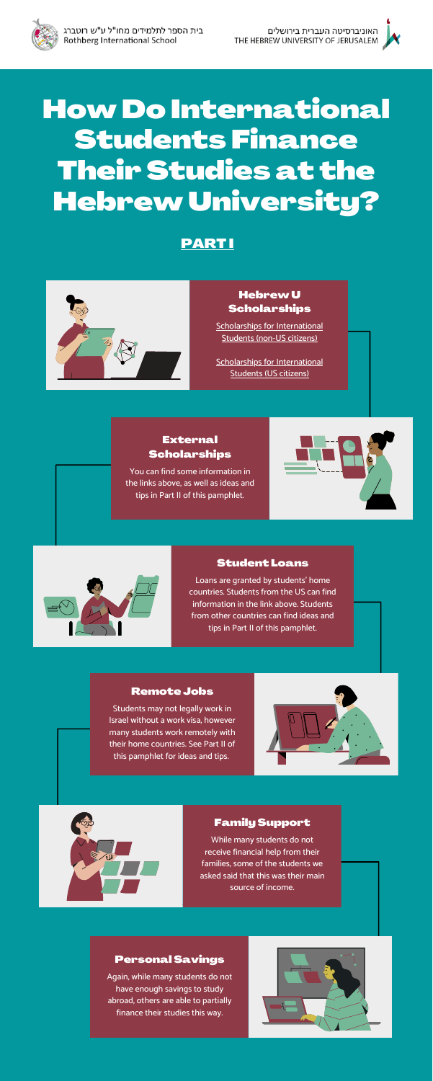

# HowDo International Students Finance Their Studies at the HebrewUniversity?

#### HebrewU **Scholarships**

Scholarships for [International](https://overseas.huji.ac.il/scholarships-and-financial-aid/scholarships-and-financial-aid-for-international-students-non-us/graduate-students-scholarships-and-financial-aid/) Students (non-US citizens)

#### External **Scholarships**

Scholarships for [International](https://overseas.huji.ac.il/scholarships-and-financial-aid/american-students/american-graduate-students-scholarships-financial-aid/) Students (US citizens)

You can find some information in the links above, as well as ideas and tips in Part II of this pamphlet.





#### Student Loans

Loans are granted by students' home countries. Students from the US can find information in the link above. Students from other countries can find ideas and tips in Part II of this pamphlet.

#### Remote Jobs

Students may not legally work in Israel without a work visa, however many students work remotely with their home countries. See Part II of this pamphlet for ideas and tips.





#### Family Support

While many students do not receive financial help from their families, some of the students we asked said that this was their main source of income.

#### Personal Savings

Again, while many students do not have enough savings to study abroad, others are able to partially finance their studies this way.



### PART I

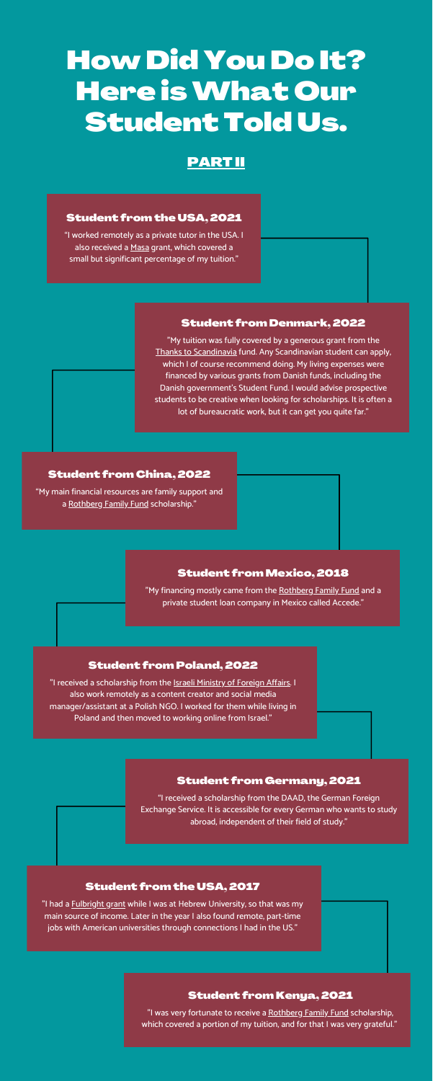## How Did You Do It? Here isWhat Our Student Told Us.

#### Student from the USA, 2021

"My main financial resources are family support and a [Rothberg](https://overseas.huji.ac.il/scholarships-and-financial-aid/scholarships-and-financial-aid-for-international-students-non-us/graduate-students-scholarships-and-financial-aid/) Family Fund scholarship."

"I worked remotely as a private tutor in the USA. I also received a [Masa](https://www.masaisrael.org/) grant, which covered a small but significant percentage of my tuition."

#### Student from China, 2022

"My financing mostly came from the [Rothberg](https://overseas.huji.ac.il/scholarships-and-financial-aid/scholarships-and-financial-aid-for-international-students-non-us/graduate-students-scholarships-and-financial-aid/) Family Fund and a private student loan company in Mexico called Accede."

#### Student from Germany, 2021

"I received a scholarship from the [DAAD,](https://www.daad.de/en/) the German Foreign Exchange Service. It is accessible for every German who wants to study abroad, independent of their field of study."

"I received a scholarship from the **[Israeli Ministry](https://mfa.gov.il/MFA/MFA-Archive/2003/Pages/Scholarships%20Offered%20by%20the%20Israeli%20Government%20to.aspx) of Foreign Affairs**. I also work remotely as a content creator and social media manager/assistant at a Polish NGO. I worked for them while living in Poland and then moved to working online from Israel."

#### PART II

#### Student fromMexico, 2018

"I had a **[Fulbright](https://overseas.huji.ac.il/scholarships-and-financial-aid/american-students/american-graduate-students-scholarships-financial-aid/) grant while I was at Hebrew University**, so that was my main source of income. Later in the year I also found remote, part-time jobs with American universities through connections I had in the US."

#### Student from Poland, 2022

#### Student from the USA, 2017

#### Student from Kenya, 2021

"I was very fortunate to receive a [Rothberg](https://overseas.huji.ac.il/scholarships-and-financial-aid/scholarships-and-financial-aid-for-international-students-non-us/graduate-students-scholarships-and-financial-aid/) Family Fund scholarship, which covered a portion of my tuition, and for that I was very grateful."

#### Student from Denmark, 2022

"My tuition was fully covered by a generous grant from the Thanks to [Scandinavia](http://www.thankstoscandinavia.org/scholarships/scholarships-in-israel/sperling-scholarships/) fund. Any Scandinavian student can apply, which I of course recommend doing. My living expenses were financed by various grants from Danish funds, including the Danish government's Student Fund. I would advise prospective students to be creative when looking for scholarships. It is often a lot of bureaucratic work, but it can get you quite far."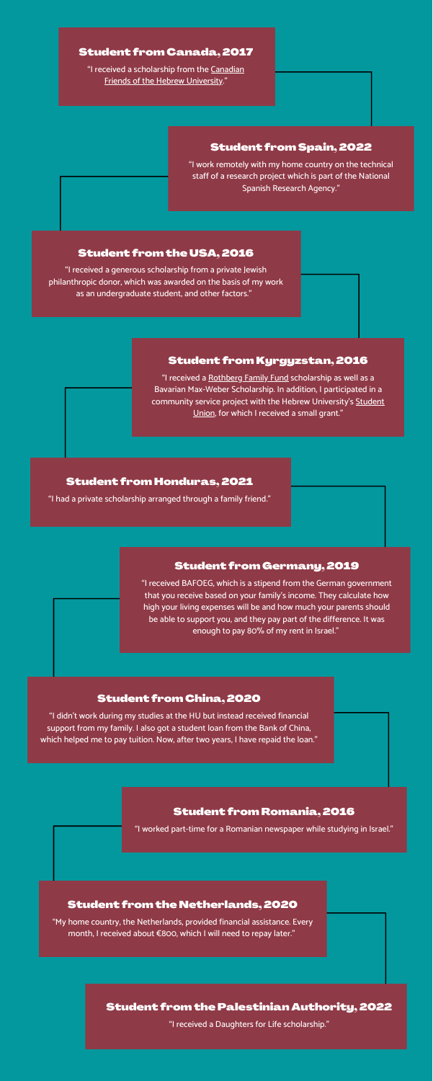#### Student from Spain, 2022

"I work remotely with my home country on the technical staff of a research project which is part of the National Spanish Research Agency."

#### Student from Kyrgyzstan, 2016

"I received a [Rothberg](https://overseas.huji.ac.il/scholarships-and-financial-aid/scholarships-and-financial-aid-for-international-students-non-us/graduate-students-scholarships-and-financial-aid/) Family Fund scholarship as well as a Bavarian Max-Weber Scholarship. In addition, I participated in a community service project with the Hebrew University's [Student](mailto:mazkirut@aguda.org.il) [Union](mailto:mazkirut@aguda.org.il), for which I received a small grant."

"I didn't work during my studies at the HU but instead received financial support from my family. I also got a student loan from the Bank of China, which helped me to pay tuition. Now, after two years, I have repaid the loan."

#### Student from Honduras, 2021

"I had a private scholarship arranged through a family friend."

#### Student from Canada, 2017

"I received a [scholarship](https://www.cfhu.org/scholarships/) from the Canadian Friends of the Hebrew University."

#### Student from the USA, 2016

"I received a generous scholarship from a private Jewish philanthropic donor, which was awarded on the basis of my work as an undergraduate student, and other factors."

#### Student from China, 2020

#### Student from Romania, 2016

"I worked part-time for a Romanian newspaper while studying in Israel."

#### Student from the Netherlands, 2020

"My home country, the Netherlands, provided financial assistance. Every month, I received about €800, which I will need to repay later."

#### Student from the Palestinian Authority, 2022

"I received a Daughters for Life scholarship."

#### Student from Germany, 2019

"I received BAFOEG, which is a stipend from the German government that you receive based on your family's income. They calculate how high your living expenses will be and how much your parents should be able to support you, and they pay part of the difference. It was enough to pay 80% of my rent in Israel."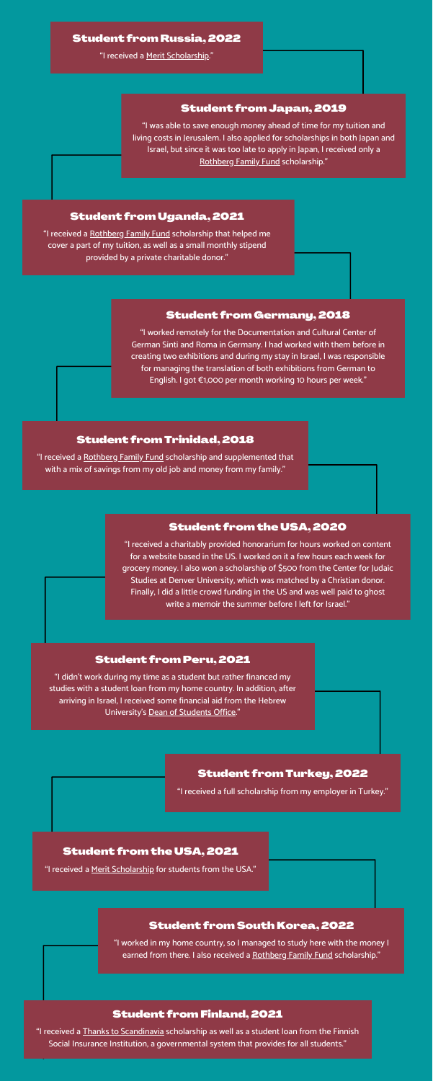#### Student from Germany, 2018

"I didn't work during my time as a student but rather financed my studies with a student loan from my home country. In addition, after arriving in Israel, I received some financial aid from the Hebrew University's Dean of [Students](https://en.studean.huji.ac.il/financial-aid) Office."

"I worked remotely for the Documentation and Cultural Center of German Sinti and Roma in Germany. I had worked with them before in creating two exhibitions and during my stay in Israel, I was responsible for managing the translation of both exhibitions from German to English. I got €1,000 per month working 10 hours per week."

#### Student from Peru, 2021

#### Student from Japan, 2019

"I was able to save enough money ahead of time for my tuition and living costs in Jerusalem. I also applied for scholarships in both Japan and Israel, but since it was too late to apply in Japan, I received only a [Rothberg](https://overseas.huji.ac.il/scholarships-and-financial-aid/scholarships-and-financial-aid-for-international-students-non-us/graduate-students-scholarships-and-financial-aid/) Family Fund scholarship."

#### Student from the USA, 2020

"I worked in my home country, so I managed to study here with the money I earned from there. I also received a [Rothberg](https://overseas.huji.ac.il/scholarships-and-financial-aid/scholarships-and-financial-aid-for-international-students-non-us/graduate-students-scholarships-and-financial-aid/) Family Fund scholarship."

"I received a charitably provided honorarium for hours worked on content for a website based in the US. I worked on it a few hours each week for grocery money. I also won a scholarship of \$500 from the Center for Judaic Studies at Denver University, which was matched by a Christian donor. Finally, I did a little crowd funding in the US and was well paid to ghost write a memoir the summer before I left for Israel."

#### Student from Trinidad, 2018

"I received a [Rothberg](https://overseas.huji.ac.il/scholarships-and-financial-aid/scholarships-and-financial-aid-for-international-students-non-us/graduate-students-scholarships-and-financial-aid/) Family Fund scholarship and supplemented that with a mix of savings from my old job and money from my family."

#### Student from Uganda, 2021

"I received a [Rothberg](https://overseas.huji.ac.il/scholarships-and-financial-aid/scholarships-and-financial-aid-for-international-students-non-us/graduate-students-scholarships-and-financial-aid/) Family Fund scholarship that helped me cover a part of my tuition, as well as a small monthly stipend provided by a private charitable donor."

#### Student from Russia, 2022

"I received a Merit [Scholarship](https://overseas.huji.ac.il/scholarships-and-financial-aid/scholarships-and-financial-aid-for-international-students-non-us/graduate-students-scholarships-and-financial-aid/)."

#### Student from the USA, 2021

"I received a Merit [Scholarship](https://overseas.huji.ac.il/scholarships-and-financial-aid/american-students/american-graduate-students-scholarships-financial-aid/) for students from the USA."

#### Student from Turkey, 2022

"I received a full scholarship from my employer in Turkey."

#### Student from South Korea, 2022

#### Student from Finland, 2021

"I received a Thanks to [Scandinavia](http://www.thankstoscandinavia.org/scholarships/scholarships-in-israel/sperling-scholarships/) scholarship as well as a student loan from the Finnish Social Insurance Institution, a governmental system that provides for all students."